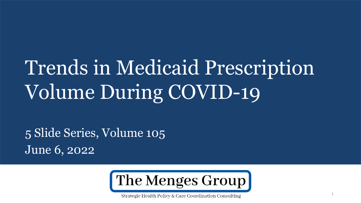# Trends in Medicaid Prescription Volume During COVID-19

5 Slide Series, Volume 105 June 6, 2022



Strategic Health Policy & Care Coordination Consulting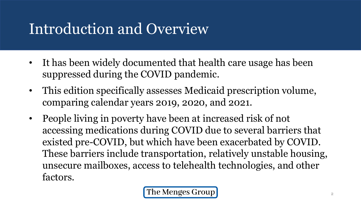## Introduction and Overview

- It has been widely documented that health care usage has been suppressed during the COVID pandemic.
- This edition specifically assesses Medicaid prescription volume, comparing calendar years 2019, 2020, and 2021.
- People living in poverty have been at increased risk of not accessing medications during COVID due to several barriers that existed pre-COVID, but which have been exacerbated by COVID. These barriers include transportation, relatively unstable housing, unsecure mailboxes, access to telehealth technologies, and other factors.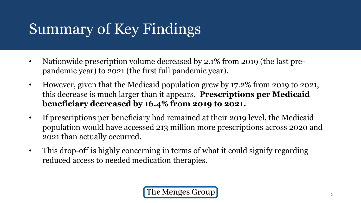# Summary of Key Findings

- Nationwide prescription volume decreased by 2.1% from 2019 (the last prepandemic year) to 2021 (the first full pandemic year).
- However, given that the Medicaid population grew by 17.2% from 2019 to 2021, this decrease is much larger than it appears. **Prescriptions per Medicaid beneficiary decreased by 16.4% from 2019 to 2021.**
- If prescriptions per beneficiary had remained at their 2019 level, the Medicaid population would have accessed 213 million more prescriptions across 2020 and 2021 than actually occurred.
- This drop-off is highly concerning in terms of what it could signify regarding reduced access to needed medication therapies.

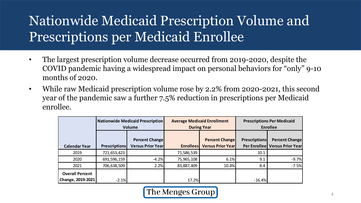#### Nationwide Medicaid Prescription Volume and Prescriptions per Medicaid Enrollee

- The largest prescription volume decrease occurred from 2019-2020, despite the COVID pandemic having a widespread impact on personal behaviors for "only" 9-10 months of 2020.
- While raw Medicaid prescription volume rose by 2.2% from 2020-2021, this second year of the pandemic saw a further 7.5% reduction in prescriptions per Medicaid enrollee.

|                                             | Nationwide Medicaid Prescription<br><b>Volume</b> |                                                    | <b>Average Medicaid Enrollment</b><br><b>During Year</b> |                                                   | <b>Prescriptions Per Medicaid</b><br><b>Enrollee</b> |                                                         |
|---------------------------------------------|---------------------------------------------------|----------------------------------------------------|----------------------------------------------------------|---------------------------------------------------|------------------------------------------------------|---------------------------------------------------------|
| <b>Calendar Year</b>                        | <b>Prescriptions</b>                              | <b>Percent Change</b><br><b>Versus Prior Yearl</b> | <b>Enrollees</b>                                         | <b>Percent Change</b><br><b>Versus Prior Year</b> | <b>Prescriptions</b>                                 | <b>Percent Change</b><br>Per Enrollee Versus Prior Year |
| 2019                                        | 721,653,423                                       |                                                    | 71,586,539                                               |                                                   | 10.1                                                 |                                                         |
| 2020                                        | 691,596,159                                       | $-4.2%$                                            | 75,965,108                                               | 6.1%                                              | 9.1                                                  | $-9.7%$                                                 |
| 2021                                        | 706,638,509                                       | 2.2%                                               | 83,887,409                                               | 10.4%                                             | 8.4                                                  | $-7.5%$                                                 |
| <b>Overall Percent</b><br>Change, 2019-2021 | $-2.1%$                                           |                                                    | 17.2%                                                    |                                                   | $-16.4%$                                             |                                                         |

The Menges Group